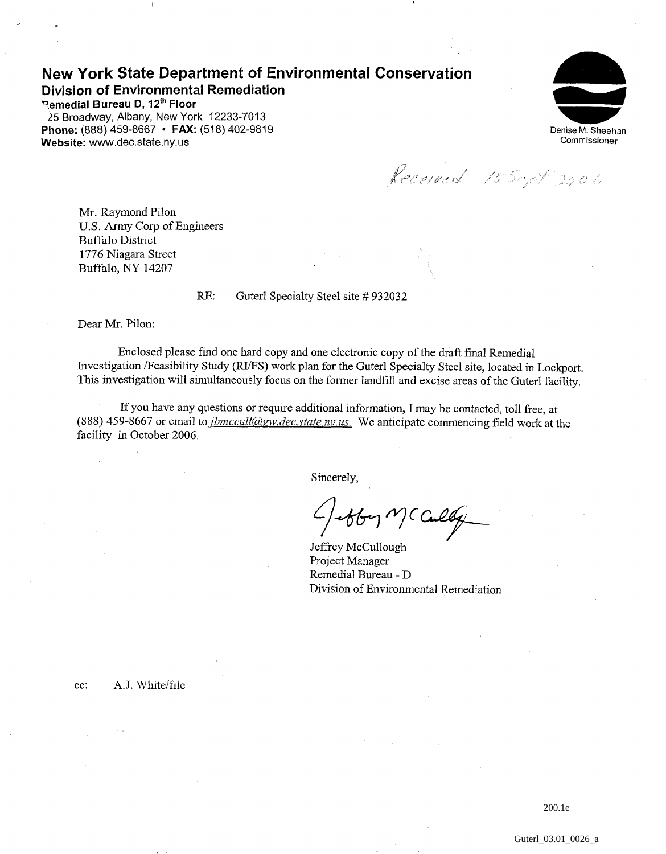## **New York State Department of Environmental Conservation Division of Environmental Remediation**

**"emedial Bureau D, 12'~ Floor**  25 Broadway, Albany, New York 12233-7013 Phone: (888) 459-8667 **· FAX:** (518) 402-9819 **Website:** www.dec.state.ny.us

 $\mathbf{I}$  i



Received 15 Sept 2006

Mr. Raymond Pilon U.S. Army Corp of Engineers Buffalo District 1776 Niagara Street Buffalo, NY 14207

RE: Guterl Specialty Steel site # 932032

Dear Mr. Pilon:

Enclosed please find one hard copy and one electronic copy of the draft final Remedial Investigation /Feasibility Study (RVFS) work plan for the Guterl Specialty Steel site, located in Lockport. This investigation will simultaneously focus on the former landfill and excise areas of the Guterl facility.

If you have any questions or require additional information, I may be contacted, toll free, at (888) 459-8667 or email to *jbmccull@gw.dec.state.ny.us*. We anticipate commencing field work at the facility in October 2006.

Sincerely,

obby MC Cally

Jeffrey McCullough Project Manager Remedial Bureau - D Division of Environmental Remediation

cc: A.J. White/file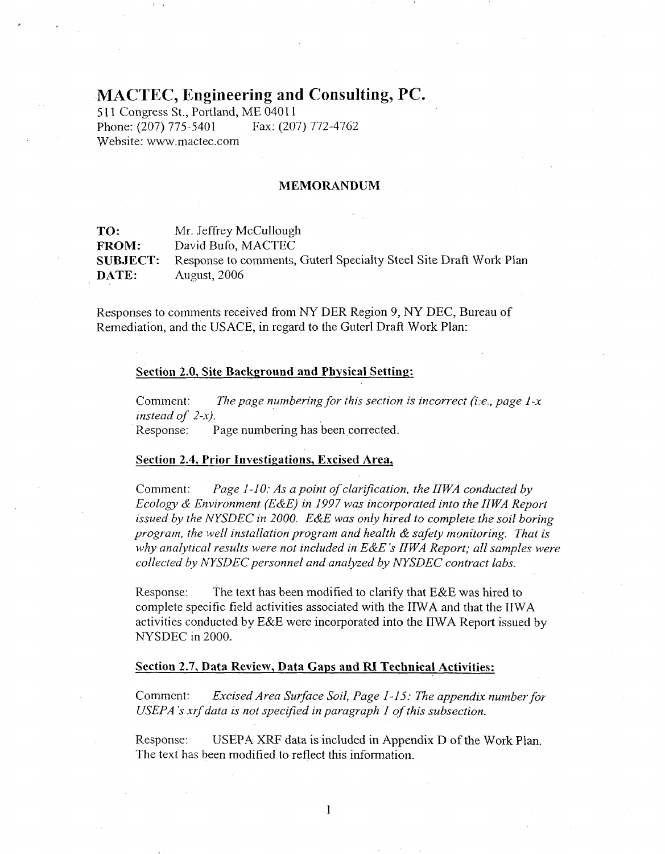# **MACTEC, Engineering and Consulting, PC.**

511 Congress St., Portland, ME 04011<br>Phone: (207) 775-5401 Fax: (207) 772-4762 Phone: (207) 775-5401 Website: www.mactec.com

 $\mathbf{p} \rightarrow \mathbf{q}$ 

#### **MEMORANDUM**

| TO:             | Mr. Jeffrey McCullough                                            |
|-----------------|-------------------------------------------------------------------|
| <b>FROM:</b>    | David Bufo, MACTEC                                                |
| <b>SUBJECT:</b> | Response to comments, Guterl Specialty Steel Site Draft Work Plan |
| DATE:           | <b>August, 2006</b>                                               |

Responses to comments received from NY DER Region 9, NY DEC, Bureau of Remediation, and the USACE, in regard to the Guterl Draft Work Plan:

## **Section 2.0, Site Background and Physical Settinp:**

Comment: *The page numbering for this section is incorrect (i. e., page* I-x *instead of 2-s).*  Response: Page numbering has been corrected.

## **Section 2.4, Prior Investigations, Excised Area,**

Comment: *Page 1-10: As a point of clarification, the IIWA conducted by Ecology* & *Environment (E&E) in* 1997 *was incorporated into the IIWA Report issued by the NYSDEC in 2000. E&E was only hired to complete the soil boring program, the well installation program and health* & *safety monitoring. That is why analytical results were not included in E&E's IIWA Report; all samples were collected by NYSDEC personnel and analyzed by NYSDEC contract labs.* 

Response: The text has been modified to clarify that E&E was hired to complete specific field activities associated with the IIWA and that the IIWA activities conducted by E&E were incorporated into the IIWA Report issued by NYSDEC in 2000.

#### **Section 2.7, Data Review, Data Gaps and RI Technical Activities:**

Comment: *Excised Area Surface Soil, Page* 1-1 *5: The appendix number for USEPA's xrf data is not spectfied in paragraph* I *of this subsection.* 

Response: USEPA XRF data is included in Appendix D of the Work Plan. The text has been modified to reflect this information.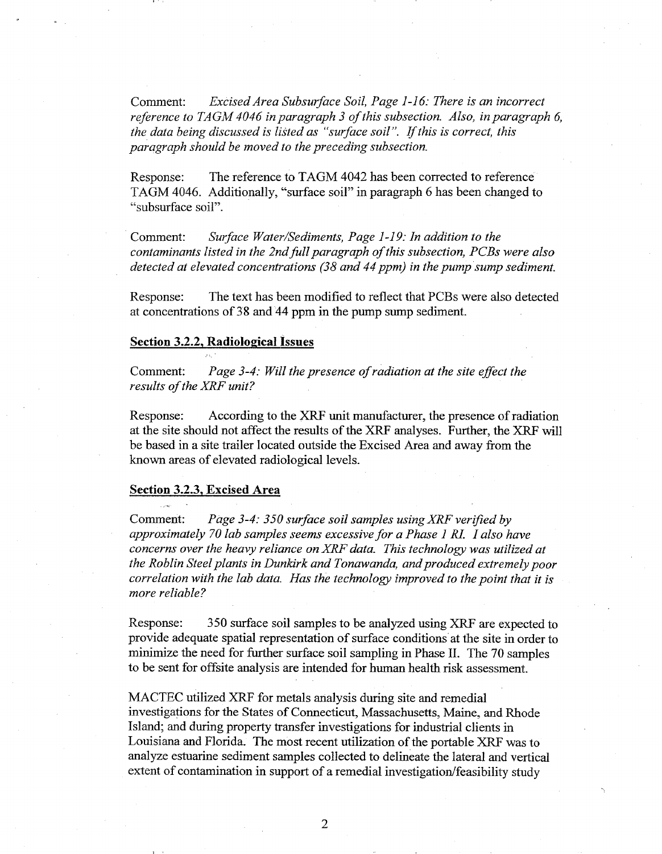Comment: *Excised Area Subsurface Soil, Page* 1-1 *6: There is an incorrect reference to TAGM 4046 in paragraph 3 ofthis subsection. Also, in paragraph 6, the data being discussed is listed as "surface soil". Ifthis is correct, this paragvaph should be moved to the preceding subsection.* 

Response: The reference to TAGM 4042 has been corrected to reference TAGM 4046. Additionally, "surface soil" in paragraph 6 has been changed to "subsurface soil".

Comment: *Surface Water/Sediments, Page 1-19: In addition to the contaminants listed in the Zndfullparagraph of this subsection, PCBs were also detected at elevated concentrations (38 and 44 ppm) in the pump sump sediment.* 

Response: The text has been modified to reflect that PCBs were also detected at concentrations of 38 and 44 ppm in the pump sump sediment.

## **Section 3.2.2, Radiological Issues**

Comment: *Page 3-4: Will the presence of radiation at the site effect the results of the XRF unit?* 

Response: According to the XRF unit manufacturer, the presence of radiation at the site should not affect the results of the XRF analyses. Further, the XRF will be based in a site trailer located outside the Excised Area and away from the known areas of elevated radiological levels.

#### **Section 3.2.3, Excised Area**

Comment: *Page 3-4: 350 surface soil samples using XRF verified by approximately 70 lab samples seems excessive for a Phase* I *RI. I also have concerns over the heavy reliance on XRF data. This technology was utilized at the Roblin Steel plants in Dunkirk and Tonawanda, and produced extremely poor correlation with the lab data. Has the technology improved to the point that it is more reliable?* 

Response: 350 surface soil samples to be analyzed using XRF are expected to provide adequate spatial representation of surface conditions at the site in order to minimize the need for further surface soil sampling in Phase 11. The 70 samples to be sent for offsite analysis are intended for human health risk assessment.

MACTEC utilized XRF for metals analysis during site and remedial investigations for the States of Connecticut, Massachusetts, Maine, and Rhode Island; and during property transfer investigations for industrial clients in Louisiana and Florida. The most recent utilization of the portable XRF was to analyze estuarine sediment samples collected to delineate the lateral and vertical extent of contamination in support of a remedial investigation/feasibility study

 $\overline{2}$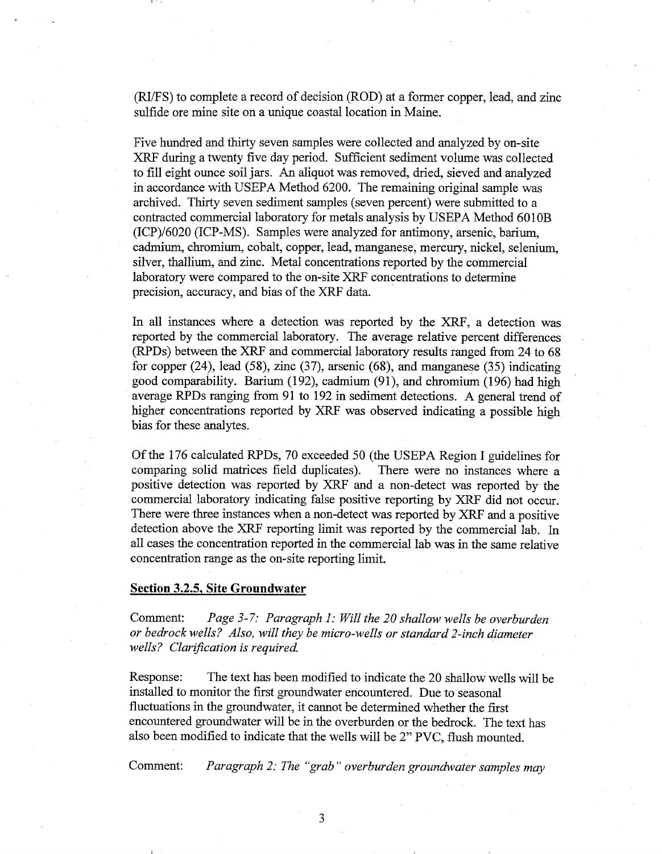(RVFS) to complete a record of decision (ROD) at a former copper, lead, and zinc sulfide ore mine site on a unique coastal location in Maine.

Five hundred and thirty seven samples were collected and analyzed by on-site XRF during a twenty five day period. Sufficient sediment volume was collected to fill eight ounce soil jars. An aliquot was removed, dried, sieved and analyzed in accordance with USEPA Method 6200. The remaining original sample was archived. Thirty seven sediment samples (seven percent) were submitted to a contracted commercial laboratory for metals analysis by USEPA Method 6010B (ICP)/6020 (ICP-MS). Samples were analyzed for antimony, arsenic, barium, cadmium, chromium, cobalt, copper, lead, manganese, mercury, nickel, selenium, silver, thallium, and zinc. Metal concentrations reported by the commercial laboratory were compared to the on-site XRF concentrations to determine precision, accuracy, and bias of the XRF data.

In all instances where a detection was reported by the XRF, a detection was reported by the commercial laboratory. The average relative percent differences (RPDs) between the XRF and commercial laboratory results ranged from 24 to 68 for copper (24), lead (58), zinc (37), arsenic (68), and manganese (35) indicating good comparability. Barium (192), cadmium (91), and chromium (196) had high average RPDs ranging from 91 to 192 in sediment detections. A general trend of higher concentrations reported by XRF was observed indicating a possible high bias for these analytes.

Of the 176 calculated RPDs, 70 exceeded 50 (the USEPA Region I guidelines for comparing solid matrices field duplicates). There were no instances where a positive detection was reported by XRF and a non-detect was reported by the commercial laboratory indicating false positive reporting by XRF did not occur. There were three instances when a non-detect was reported by XRF and a positive detection above the XRF reporting limit was reported by the commercial lab. In all cases the concentration reported in the commercial lab was in the same relative concentration range as the on-site reporting limit.

## **Section 3.2.5, Site Groundwater**

Comment: *Page 3-7: Paragraph I: Will the 20 shallow wells be overburden or bedrock wells? Also, will they be micro-wells or standard 2-inch diameter wells? Clarification is required.* 

Response: The text has been modified to indicate the 20 shallow wells will be installed to monitor the first groundwater encountered. Due to seasonal fluctuations in the groundwater, it cannot be determined whether the first encountered groundwater will be in the overburden or the bedrock. The text has also been modified to indicate that the wells will be 2" PVC, flush mounted.

Comment: *Paragraph 2: The "grab" overburden groundwater samples may*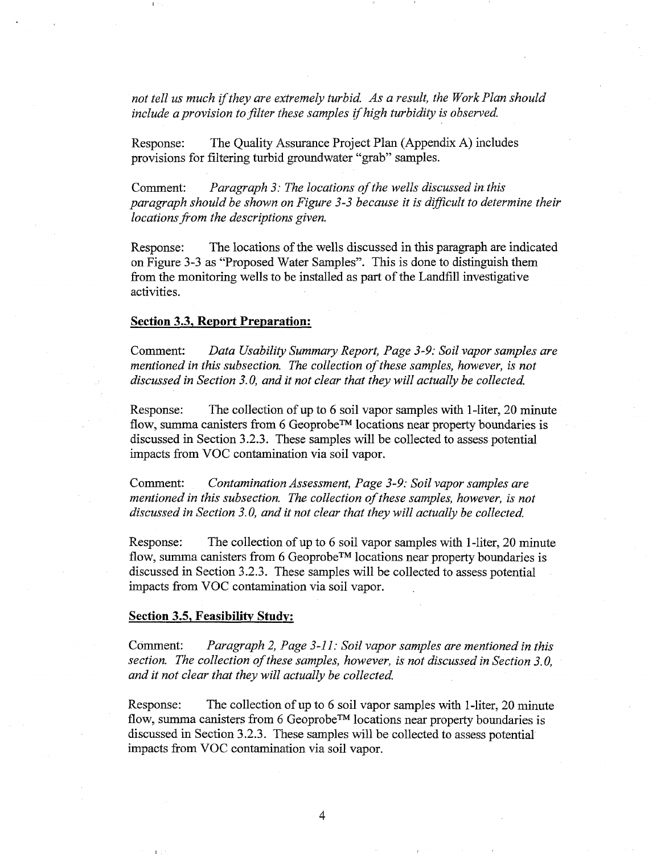not tell us much if they are extremely turbid. As a result, the Work Plan should *include a provision to filter these samples if high turbidity is observed.* 

Response: The Quality Assurance Project Plan (Appendix A) includes provisions for filtering turbid groundwater "grab" samples.

Comment: *Paragraph* 3: *The locations of the wells discussed in this paragraph should be shown on Figure 3-3 because it is difficult to determine their locations from the descriptions given.* 

Response: The locations of the wells discussed in this paragraph are indicated on Figure 3-3 as "Proposed Water Samples". This is done to distinguish them from the monitoring wells to be installed as part of the Landfill investigative activities.

## **Section 3.3, Report Preparation:**

Comment: *Data Usability Summary Report, Page* 3-9: *Soil vapor samples are mentioned in this subsection. The collection of these samples, however,* **is** *not discussed in Section 3.0, and it not clear that they will actually be collected.* 

Response: The collection of up to 6 soil vapor samples with 1-liter, 20 minute flow, summa canisters from *6* GeoprobeTM locations near property boundaries is discussed in Section 3.2.3. These samples will be collected to assess potential impacts from VOC contamination via soil vapor.

Comment: *Contamination Assessment, Page* 3-9: *Soil vapor samples are mentioned in this subsection. The collection of these samples, however, is not discussed in Section* 3.0, *and it not clear that they will actually be collected.* 

Response: The collection of up to 6 soil vapor samples with I-liter, 20 minute flow, summa canisters from 6 Geoprobe<sup>™</sup> locations near property boundaries is discussed in Section 3.2.3. These samples will be collected to assess potential impacts from VOC contamination via soil vapor.

## **Section 3.5, Feasibility Study:**

Comment: *Paragraph 2, Page* 3-1 1: *Soil vapor samples are mentioned in this section. The collection of these samples, however, is not discussed in Section 3.0, and it not clear that they will actually be collected.* 

Response: The collection of up to 6 soil vapor samples with 1-liter, 20 minute flow, summa canisters from 6 Geoprobe<sup>TM</sup> locations near property boundaries is discussed in Section 3.2.3. These samples will be collected to assess potential impacts from VOC contamination via soil vapor.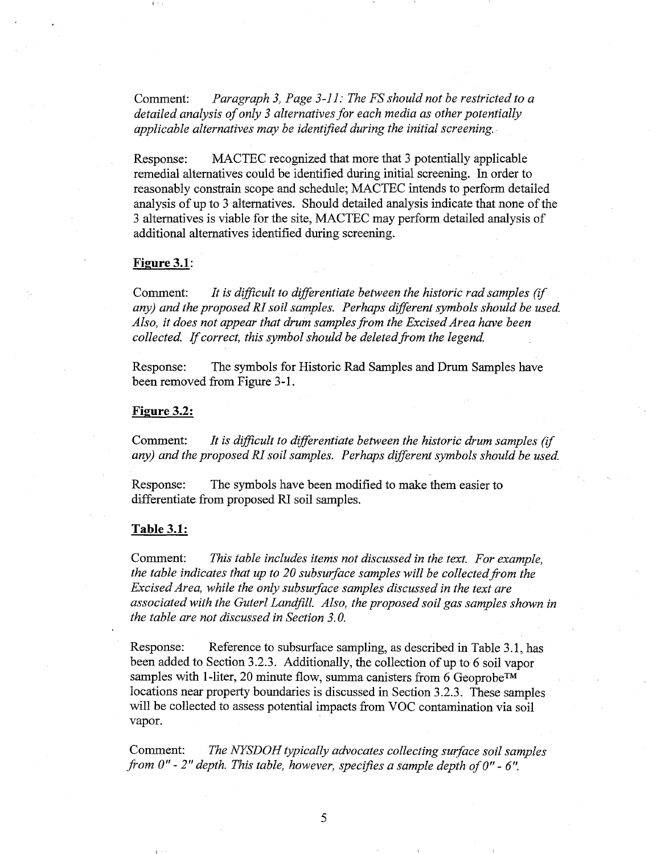Comment: *Paragraph 3, Page 3-1 1: The FS should not be restricted to a detailed analysis of only 3 alternatives for each media as other potentially applicable alternatives may be identified during the initial screening.* 

Response: MACTEC recognized that more that 3 potentially applicable remedial alternatives could be identified during initial screening. In order to reasonably constrain scope and schedule; MACTEC intends to perform detailed analysis of up to 3 alternatives. Should detailed analysis indicate that none of the 3 alternatives is viable for the site, MACTEC may perform detailed analysis of additional alternatives identified during screening.

## **Figure** 3.1:

Comment: *It is difficult to differentiate between the historic rad samples (if any)* and the proposed RI soil samples. Perhaps different symbols should be used. Also, it does not appear that drum samples from the Excised Area have been *collected. If correct, this symbol should be deleted from the legend.* 

Response: The symbols for Historic Rad Samples and Drum Samples have been removed from Figure 3-1.

### **Figure** 3.2:

Comment: *It is difficult to differentiate between the historic drum samples (if any) and the proposed RI soil samples. Perhaps different symbols should be used.* 

Response: The symbols have been modified to make them easier to differentiate from proposed RI soil samples.

#### **Table** 3.1:

Comment: *This table includes items not discussed in the text. For example, the table indicates that up to 20 subsurface samples will be collected from the Excised Area, while the only subsurface samples discussed in the text are*  associated with the Guterl Landfill. Also, the proposed soil gas samples shown in *the table are not discussed in Section 3.0.* 

Response: Reference to subsurface sampling, as described in Table 3.1, has been added to Section 3.2.3. Additionally, the collection of up to 6 soil vapor samples with 1-liter, 20 minute flow, summa canisters from 6 Geoprobe<sup>TM</sup> locations near property boundaries is discussed in Section 3.2.3. These samples will be collected to assess potential impacts from VOC contamination via soil vapor.

Comment: *The NYSDOH typically advocates collecting surface soil samples from 0" - 2" depth. This table, however, specifies a sample depth of 0" - 6".*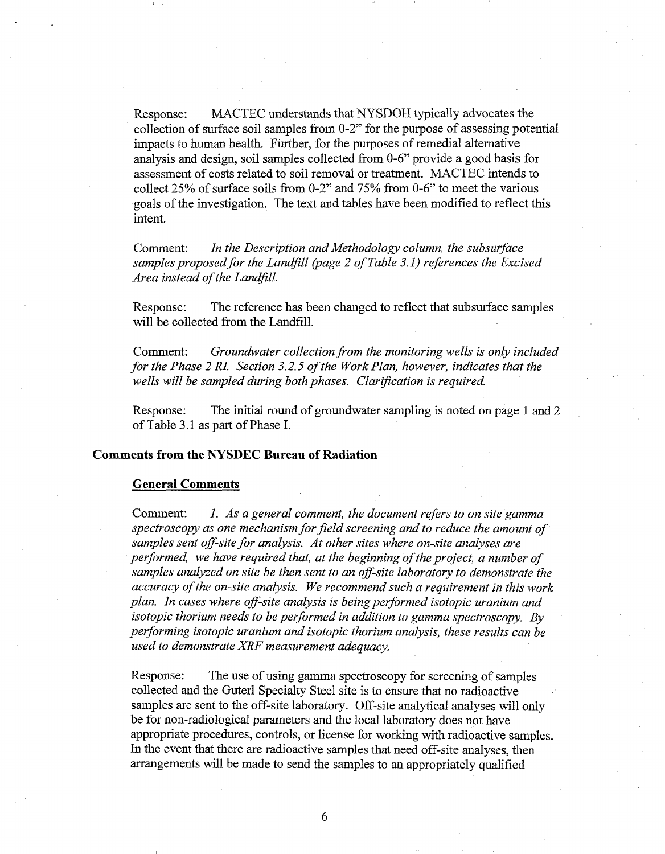Response: MACTEC understands that NYSDOH typically advocates the collection of surface soil samples from 0-2" for the purpose of assessing potential impacts to human health. Further, for the purposes of remedial alternative analysis and design, soil samples collected from 0-6" provide a good basis for assessment of costs related to soil removal or treatment. MACTEC intends to collect *25%* of surface soils fiom 0-2" and 75% fiom 0-6" to meet the various goals of the investigation. The text and tables have been modified to reflect this intent.

Comment: *In the Description and Methodology column, the subsurface samples proposed for the Landfill (page 2 of Table 3.1) references the Excised Area instead of the Landfill.* 

Response: The reference has been changed to reflect that subsurface samples will be collected from the Landfill.

Comment: *Groundwater collection from the monitoring wells is only included for the Phase 2 RI. Section 3.2.5 of the Work Plan, however, indicates that the*  wells will be sampled during both phases. Clarification is required.

Response: The initial round of groundwater sampling is noted on page 1 and 2 of Table 3.1 as part of Phase I.

## **Comments from the NYSDEC Bureau of Radiation**

## **General Comments**

Comment: *1. As a general comment, the document refers to on site gamma spectroscopy as one mechanism for field screening and to reduce the amount of samples sent off-site for analysis. At other sites where on-site analyses are performed, we have required that, at the beginning of the project, a number of samples analyzed on site be then sent to an off-site laboratory to demonstrate the accuracy of the on-site analysis. We recommend such a requirement in this work plan. In cases where of-site analysis is being performed isotopic uranium and isotopic thorium needs to be performed in addition to gamma spectroscopy. By performing isotopic uranium and isotopic thorium analysis, these results can be used to demonstrate XRF measurement adequacy,* 

Response: The use of using gamma spectroscopy for screening of samples collected and the Guterl Specialty Steel site is to ensure that no radioactive samples are sent to the off-site laboratory. Off-site analytical analyses will only be for non-radiological parameters and the local laboratory does not have appropriate procedures, controls, or license for working with radioactive samples. In the event that there are radioactive samples that need off-site analyses, then arrangements will be made to send the samples to an appropriately qualified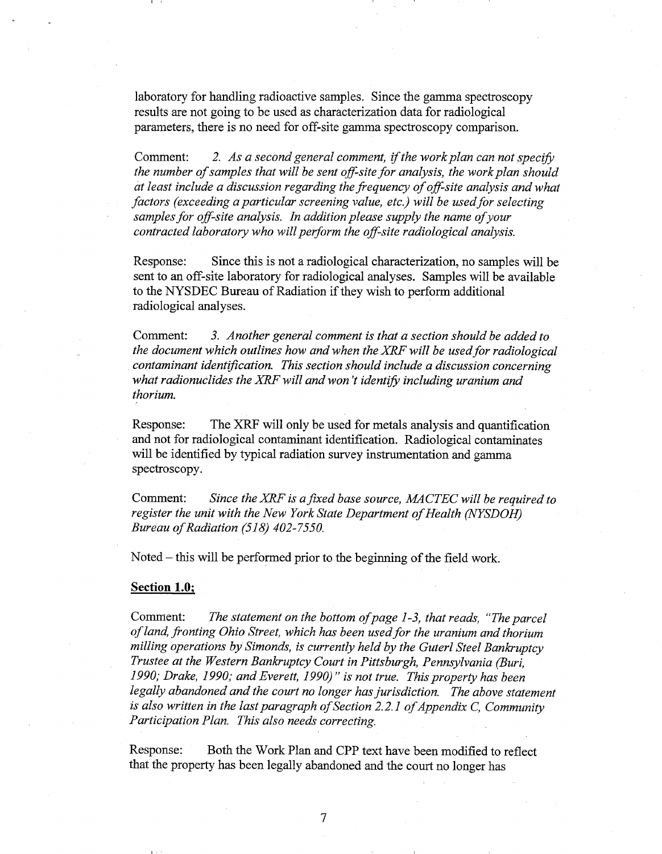laboratory for handling radioactive samples. Since the gamma spectroscopy results are not going to be used as characterization data for radiological parameters, there is no need for off-site gamma spectroscopy comparison.

Comment: 2. As a second general comment, if the work plan can not specify *the number of samples that will be sent off-site for analysis, the work plan should at least include a discussion regarding the frequency of off-site analysis and what factors (exceeding a particular screening value, etc.) will be used for selecting samples for off-site analysis. In addition please supply the name of your contracted laboratory who will perform the off-site radiological analysis.* 

Response: Since this is not a radiological characterization, no samples will be sent to an off-site laboratory for radiological analyses. Samples will be available to the NYSDEC Bureau of Radiation if they wish to perform additional radiological analyses.

Comment: *3. Another general comment is that a section should be added to the document which outlines how and when the XRF will be used for radiological contaminant identification. This section should include a discussion concerning* what radionuclides the XRF will and won't identify including uranium and *thorium.* 

Response: The XRF will only be used for metals analysis and quantification and not for radiological contaminant identification. Radiological contaminates will be identified by typical radiation survey instrumentation and gamma spectroscopy.

Comment: *Since the XRE is afixed base source, MACTEC will be required to register the unit with the New York State Department of Health (NYSDOH) Bureau of Radiation (518) 402-7550.* 

Noted - this will be performed prior to the beginning of the field work.

## **Section 1.0;**

Comment: The statement on the bottom of page 1-3, that reads, "The parcel" *of land, fronting Ohio Street, which has been used for the uranium and thorium milling operations by Simonds, is currently held by the Guterl Steel Bankruptcy Trustee at the Western Bankruptcy Court in Pittsburgh, Pennsylvania (Buri, 1990; Drake, 1990; and Everett, 1990)" is not true. This property has been*  legally abandoned and the court no longer has jurisdiction. The above statement *is also written in the last paragraph of Section 2.2.1 of Appendix C, Community Participation Plan. This also needs correcting.* 

Response: Both the Work Plan and CPP text have been modified to reflect that the property has been legally abandoned and the court no longer has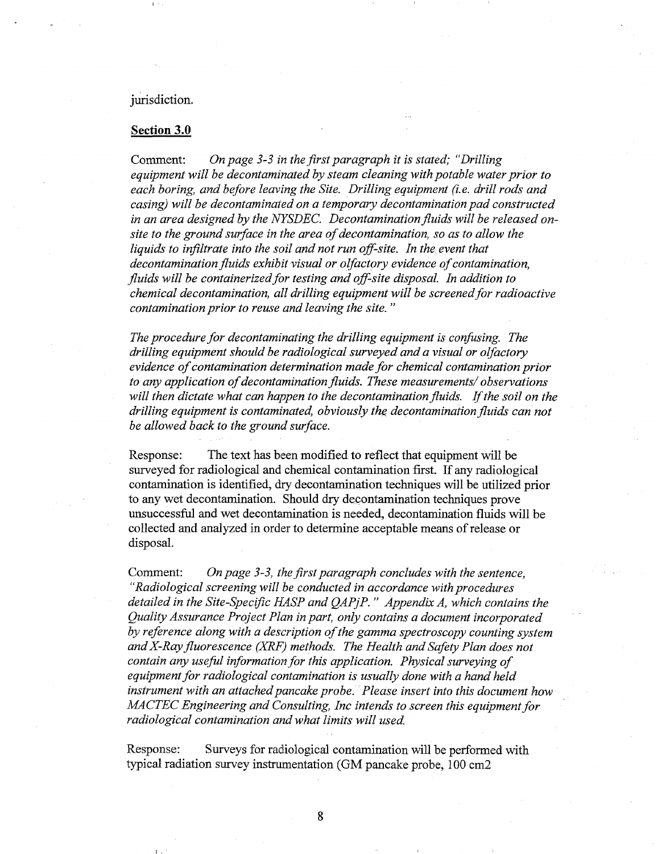## jurisdiction.

## **Section 3.0**

Comment: *On page 3-3 in the first paragraph it is stated; "Drilling equipment will be decontaminated by steam cleaning with potable water prior to each boring, and before leaving the Site. Drilling equipment 6.e. drill rods and casing) will be decontaminated on a temporary decontamination pad constructed in an area designed by the NYSDEC. Decontamination fluids will be released onsite to the ground surface in the area of decontamination, so as to allow the liquids to infiltrate into the soil and not run off-site. In the event that decontamination fluids exhibit visual or olfactory evidence of contamination, fluids will be containerized for testing and 08-site disposal. In addition to chemical decontamination, all drilling equipment will be screened for radioactive contamination prior to reuse and leaving the site.* "

*The procedure for decontaminating the drilling equipment is confusing. The drilling equipment should be radiological surveyed and a visual or olfactory evidence of contamination determination made for chemical contamination prior to any application of decontamination fluids. These measurements/ observations*  will then dictate what can happen to the decontamination fluids. If the soil on the *drilling equipment is contaminated, obviously the decontamination fluids can not be allowed back to the ground surface.* 

Response: The text has been modified to reflect that equipment will be surveyed for radiological and chemical contamination first. If any radiological contamination is identified, dry decontamination techniques will be utilized prior to any wet decontamination. Should dry decontamination techniques prove unsuccessful and wet decontamination is needed, decontamination fluids will be collected and analyzed in order to determine acceptable means of release or disposal.

Comment: *On page 3-3, the first paragraph concludes with the sentence, "Radiological screening will be conducted in accordance with procedures detailed in the Site-Speczfic IEASP and QAPjP.* " *Appendix A, which contains the Quality Assurance Project Plan in part, only contains a document incorporated by reference along with a description of the gamma spectroscopy counting system and X-Ray fluorescence (XRF) methods. The Health and Safety Plan does not contain any useful information for this application. Physical surveying of equipment for radiological contamination is usually done with a hand held instrument with an attached pancake probe. Please insert into this document how MACTEC Engineering and Consulting, Inc intends to screen this equipment for radiological contamination and what limits will used.* 

Response: Surveys for radiological contamination will be performed with typical radiation survey instrumentation (GM pancake probe, 100 cm2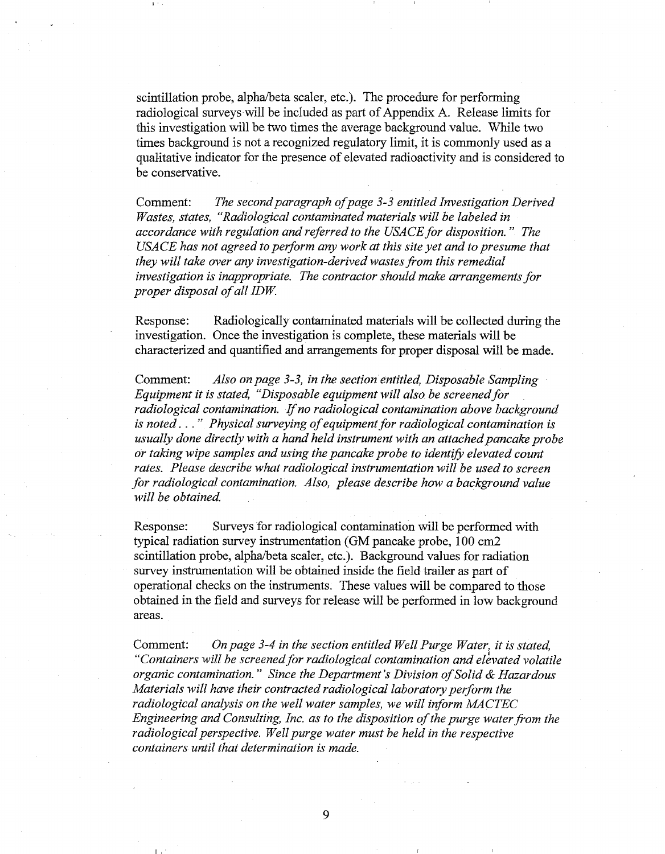scintillation probe, alpha/beta scaler, etc.). The procedure for performing radiological surveys will be included as part of Appendix A. Release limits for this investigation will be two times the average background value. While two times background is not a recognized regulatory limit, it is commonly used as a qualitative indicator for the presence of elevated radioactivity and is considered to be conservative.

Comment: *The second paragraph of page 3-3 entitled Investigation Derived Wastes, states, "Radiological contaminated materials will be labeled in accordance with regulation and referred to the USACE for disposition.* " *The USACE has not agreed to perform any work at this site yet and to presume that they will take over any investigation-derived wastes fiom this remedial investigation is inappropriate. The contractor should make arrangements for proper disposal of all IDW.* 

Response: Radiologicalliy contaminated materials will be collected during the investigation. Once the investigation is complete, these materials will be characterized and quantified and arrangements for proper disposal will be made.

Comment: *Also on page 3-3, in the section entitled, Disposable Sampling Equipment it is stated, "Disposable equipment will also be screened for radiological contamination.* If *no radiological contamination above background is noted.* . . " *Physical surveying of equipment for radiological contamination is usually done directly with a hand held instrument with an attached pancake probe or taking wipe samples and using the pancake probe to identify elevated count rates. Please describe what radiological instrumentation will be used to screen for radiological contamination. Also, please describe how a background value*  will be obtained.

Response: Surveys for radiological contamination will be performed with typical radiation survey instrumentation (GM pancake probe, 100 cm2 scintillation probe, alpha/beta scaler, etc.). Background values for radiation survey instrumentation will be obtained inside the field trailer as part of operational checks on the instruments. These values will be compared to those obtained in the field and surveys for release will be performed in low background areas.

Comment: *On page 3-4 in the section entitled Well Purge Water, it is stated, "Containers will be screened for radiological contamination and elivated volatile organic contamination.* " *Since the Department* **S** *Division of Solid* & *Hazardous Materials will have their contracted radiological laboratory perform the radiological analysis on the well water samples, we will inform MACTEC Engineering and Consulting, Inc. as to the disposition of the purge water from the radiological perspective. Well purge water must be held in the respective containers until that determination is made.* 

9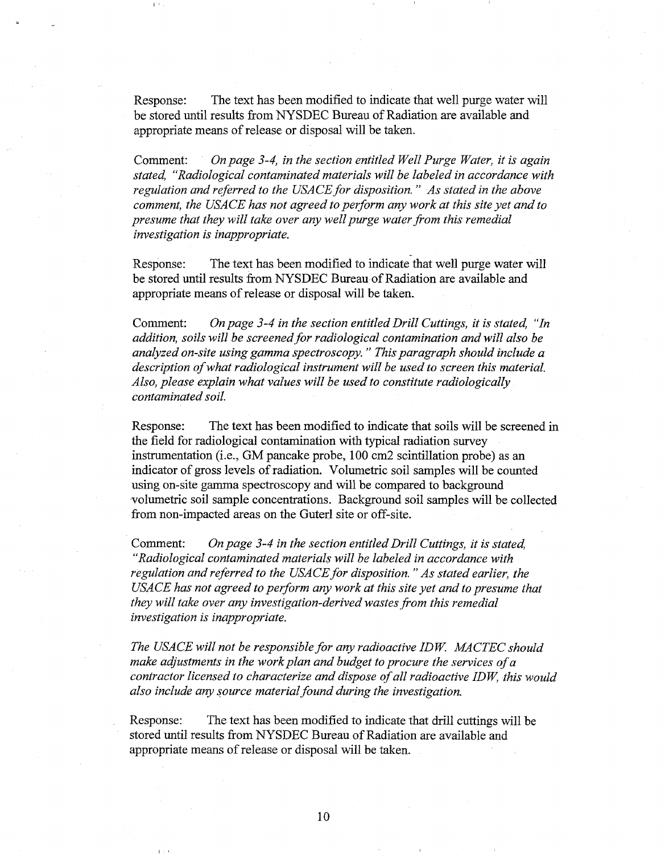Response: The text has been modified to indicate that well purge water will be stored until results from WYSDEC Bureau of Radiation are available and appropriate means of release or disposal will be taken.

Comment: *Onpage* 3-4, *in the section entitled Well Purge Water, it is again stated, "Radiological contaminated materials will be labeled in accordance with regulation and referred to the USACE for disposition.* " *As stated in the above comment, the USACE has not agreed to perform any work at this site yet and to presume that they will take over any well purge water from this remedial investigation is inappropriate.* 

Response: The text has been modified to indicate that well purge water will be stored until results from NYSDEC Bureau of Radiation are available and appropriate means of release or disposal will be taken.

Comment: *On page* 3-4 *in the section entitled Drill Cuttings, it is stated, "In addition, soils will be screened for radiological contamination and will also be analyzed on-site using gamma spectroscopy.* " *This paragraph should include a description of what radiological instrument will be used to screen this material. Also, please explain what values will be used to constitute radiologically contaminated soil.* 

Response: The text has been modified to indicate that soils will be screened in the field for radiological contamination with typical radiation survey instrumentation (i.e., GM pancake probe, 100 cm2 scintillation probe) as an indicator of gross levels of radiation. Volumetric soil samples will be counted using on-site gamma spectroscopy and will be compared to background volumetric soil sample concentrations. Background soil samples will be collected from non-impacted areas on the Guterl site or off-site.

Comment: *On page 3-4 in the section entitled Drill Cuttings, it is stated, "Radiological contaminated materials will be labeled in accordance with regulation and referred to the USACE for disposition.* " *As stated earlier, the USACE has not agreed to perform any work at this site yet and to presume that they will take over any investigation-derived wastes from this remedial investigation is inappropriate.* 

*The USACE will not be responsible for any radioactive IDK MCTEC should make adjustments in the work plan and budget to procure the services of a contractor licensed to characterize and dispose of all radioactive IDW, this would also include any source material found during the investigation.* 

Response: The text has been modified to indicate that drill cuttings will be stored until results fiom NYSDEC Bureau of Radiation are available and appropriate means of release or disposal will be taken.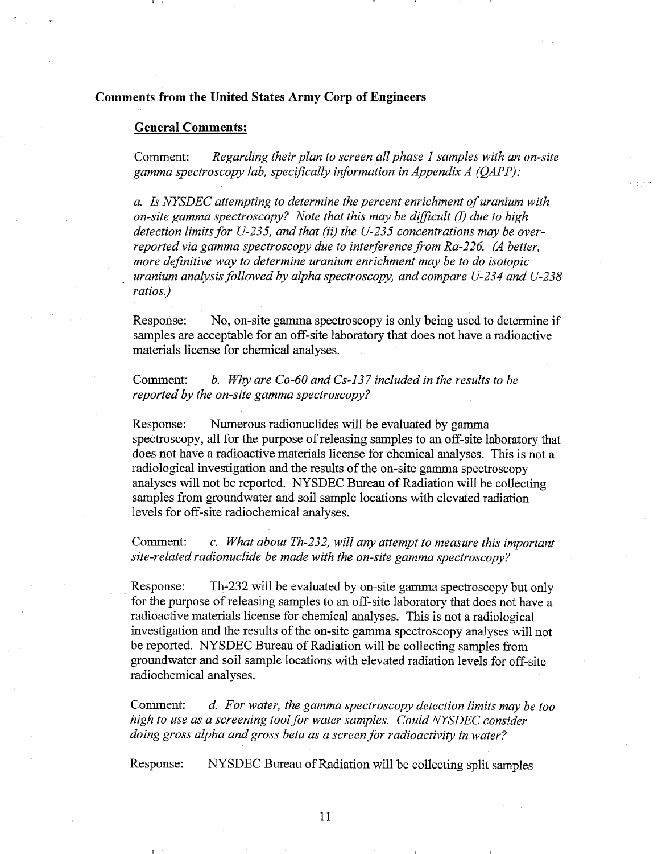## **Comments from the United States Army Corp of Engineers**

## **General Comments:**

Comment: *Regarding their plan to screen all phase I samples with an on-site gamma spectroscopy lab, speciJically information in Appendix A (QAPP):* 

*a. Is NYSDEC attempting to determine the percent enrichment of uranium with on-site gamma spectroscopj?? Note that this may be difJicult (I) due to high detection limits for U-235, and that* (ii) *the U-235 concentrations may be overreported via gamma spectroscopy due to interference from Ra-226. (A better, more definitive way to determine uranium enrichment may be to do isotopic uranium analysis followed by alpha spectroscopy, and compare U-234 and U-238 ratios.)* 

Response: No, on-site gamma spectroscopy is only being used to determine if samples are acceptable for an off-site laboratory that does not have a radioactive materials license for chemical analyses.

Comment: *b. Why are Co-60 and Cs-137 included in the results to be reported by the on-site gamma spectroscopy?* 

Response: Numerous radionuclides will be evaluated by gamma spectroscopy, all for the purpose of releasing samples to an off-site laboratory that does not have a radioactive materials license for chemical analyses. This is not a radiological investigation and the results of the on-site gamma spectroscopy analyses will not be reported. NYSDEC Bureau of Radiation will be collecting samples fiom groundwater and soil sample locations with elevated radiation levels for off-site radiochemical analyses.

Comment: *c. What about Th-232, will any attempt to measure this important site-related radionuclide be made with the on-site gamma spectroscopy?* 

Response: Th-232 will be evaluated by on-site gamma spectroscopy but only for the purpose of releasing samples to an off-site laboratory that does not have a radioactive materials license for chemical analyses. This is not a radiological investigation and the results of the on-site gamma spectroscopy analyses will not be reported. NYSDEC Bureau of Radiation will be collecting samples from groundwater and soil sample locations with elevated radiation levels for off-site radiochemical analyses.

Comment: *d. For water, the gamma spectroscopy detection limits may be too high to use as a screening tool for water samples. Could NYSDEC consider doing gross alpha and gross beta as a screen for radioactivity in water?* 

Response: NYSDEC Bureau of Radiation will be collecting split samples